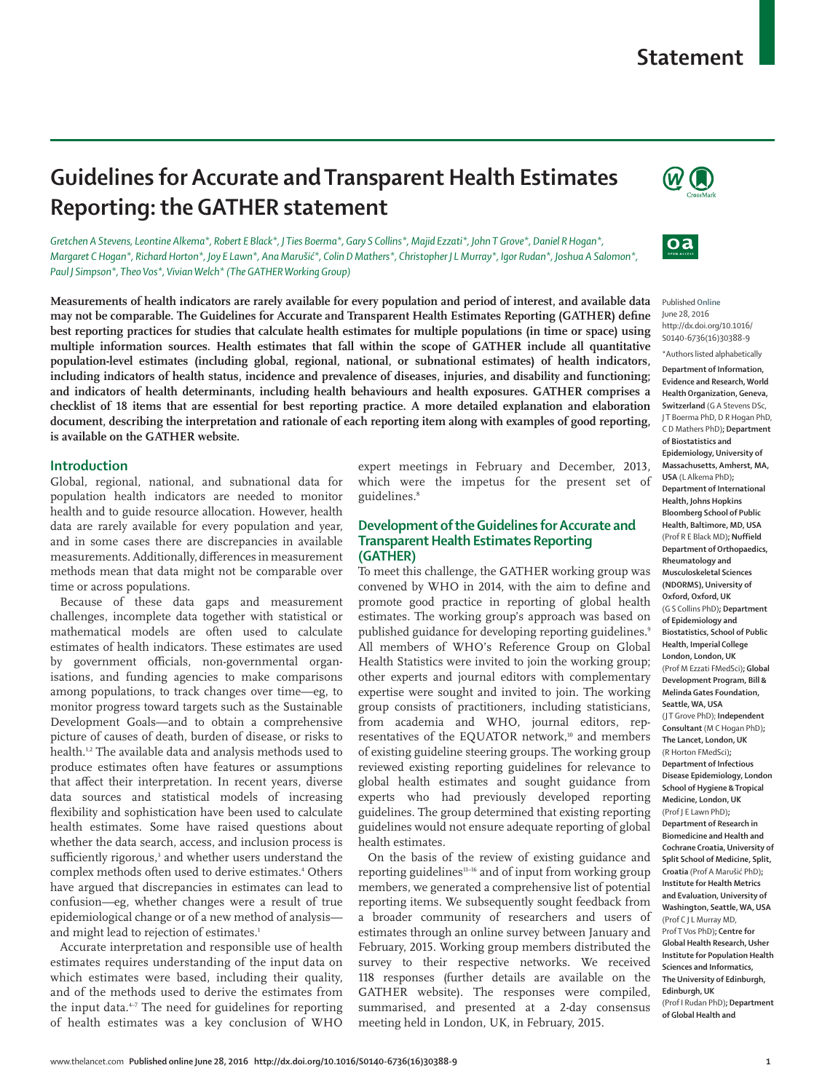# **Statement**

# **Guidelines for Accurate and Transparent Health Estimates Reporting: the GATHER statement**

*Gretchen A Stevens, Leontine Alkema\*, Robert E Black\*, J Ties Boerma\*, Gary S Collins\*, Majid Ezzati\*, John T Grove\*, Daniel R Hogan\*, Margaret C Hogan\*, Richard Horton\*, Joy E Lawn\*, Ana Marušić\*, Colin D Mathers\*, Christopher J L Murray\*, Igor Rudan\*, Joshua A Salomon\*, Paul J Simpson\*, Theo Vos\*, Vivian Welch\* (The GATHER Working Group)*

**Measurements of health indicators are rarely available for every population and period of interest, and available data may not be comparable. The Guidelines for Accurate and Transparent Health Estimates Reporting (GATHER) define best reporting practices for studies that calculate health estimates for multiple populations (in time or space) using multiple information sources. Health estimates that fall within the scope of GATHER include all quantitative population-level estimates (including global, regional, national, or subnational estimates) of health indicators, including indicators of health status, incidence and prevalence of diseases, injuries, and disability and functioning; and indicators of health determinants, including health behaviours and health exposures. GATHER comprises a checklist of 18 items that are essential for best reporting practice. A more detailed explanation and elaboration document, describing the interpretation and rationale of each reporting item along with examples of good reporting, is available on the GATHER website.**

## **Introduction**

Global, regional, national, and subnational data for population health indicators are needed to monitor health and to guide resource allocation. However, health data are rarely available for every population and year, and in some cases there are discrepancies in available measurements. Additionally, differences in measurement methods mean that data might not be comparable over time or across populations.

Because of these data gaps and measurement challenges, incomplete data together with statistical or mathematical models are often used to calculate estimates of health indicators. These estimates are used by government officials, non-governmental organisations, and funding agencies to make comparisons among populations, to track changes over time—eg, to monitor progress toward targets such as the Sustainable Development Goals—and to obtain a comprehensive picture of causes of death, burden of disease, or risks to health.1,2 The available data and analysis methods used to produce estimates often have features or assumptions that affect their interpretation. In recent years, diverse data sources and statistical models of increasing flexibility and sophistication have been used to calculate health estimates. Some have raised questions about whether the data search, access, and inclusion process is sufficiently rigorous,<sup>3</sup> and whether users understand the complex methods often used to derive estimates.<sup>4</sup> Others have argued that discrepancies in estimates can lead to confusion—eg, whether changes were a result of true epidemiological change or of a new method of analysis and might lead to rejection of estimates.<sup>1</sup>

Accurate interpretation and responsible use of health estimates requires understanding of the input data on which estimates were based, including their quality, and of the methods used to derive the estimates from the input data. $47$  The need for guidelines for reporting of health estimates was a key conclusion of WHO expert meetings in February and December, 2013, which were the impetus for the present set of guidelines.<sup>8</sup>

# **Development of the Guidelines for Accurate and Transparent Health Estimates Reporting (GATHER)**

To meet this challenge, the GATHER working group was convened by WHO in 2014, with the aim to define and promote good practice in reporting of global health estimates. The working group's approach was based on published guidance for developing reporting guidelines.<sup>9</sup> All members of WHO's Reference Group on Global Health Statistics were invited to join the working group; other experts and journal editors with complementary expertise were sought and invited to join. The working group consists of practitioners, including statisticians, from academia and WHO, journal editors, representatives of the EQUATOR network,<sup>10</sup> and members of existing guideline steering groups. The working group reviewed existing reporting guidelines for relevance to global health estimates and sought guidance from experts who had previously developed reporting guidelines. The group determined that existing reporting guidelines would not ensure adequate reporting of global health estimates.

On the basis of the review of existing guidance and reporting guidelines11–16 and of input from working group members, we generated a comprehensive list of potential reporting items. We subsequently sought feedback from a broader community of researchers and users of estimates through an online survey between January and February, 2015. Working group members distributed the survey to their respective networks. We received 118 responses (further details are available on the GATHER website). The responses were compiled, summarised, and presented at a 2-day consensus meeting held in London, UK, in February, 2015.





Published **Online** June 28, 2016 http://dx.doi.org/10.1016/ S0140-6736(16)30388-9 \*Authors listed alphabetically

**Department of Information, Evidence and Research, World Health Organization, Geneva, Switzerland** (G A Stevens DSc, J T Boerma PhD, D R Hogan PhD, C D Mathers PhD)**; Department of Biostatistics and Epidemiology, University of Massachusetts, Amherst, MA, USA** (L Alkema PhD)**; Department of International Health, Johns Hopkins Bloomberg School of Public Health, Baltimore, MD, USA** (Prof R E Black MD)**; Nuffield Department of Orthopaedics, Rheumatology and Musculoskeletal Sciences (NDORMS), University of Oxford, Oxford, UK**  (G S Collins PhD)**; Department of Epidemiology and Biostatistics, School of Public Health, Imperial College London, London, UK**  (Prof M Ezzati FMedSci)**; Global Development Program, Bill & Melinda Gates Foundation, Seattle, WA, USA** (J T Grove PhD); **Independent Consultant** (M C Hogan PhD)**; The Lancet, London, UK**  (R Horton FMedSci)**; Department of Infectious Disease Epidemiology, London School of Hygiene & Tropical Medicine, London, UK**  (Prof J E Lawn PhD)**; Department of Research in Biomedicine and Health and Cochrane Croatia, University of Split School of Medicine, Split, Croatia** (Prof A Marušić PhD)**; Institute for Health Metrics and Evaluation, University of Washington, Seattle, WA, USA** (Prof C LL Murray MD, Prof T Vos PhD)**; Centre for Global Health Research, Usher Institute for Population Health Sciences and Informatics, The University of Edinburgh, Edinburgh, UK**  (Prof I Rudan PhD)**; Department of Global Health and**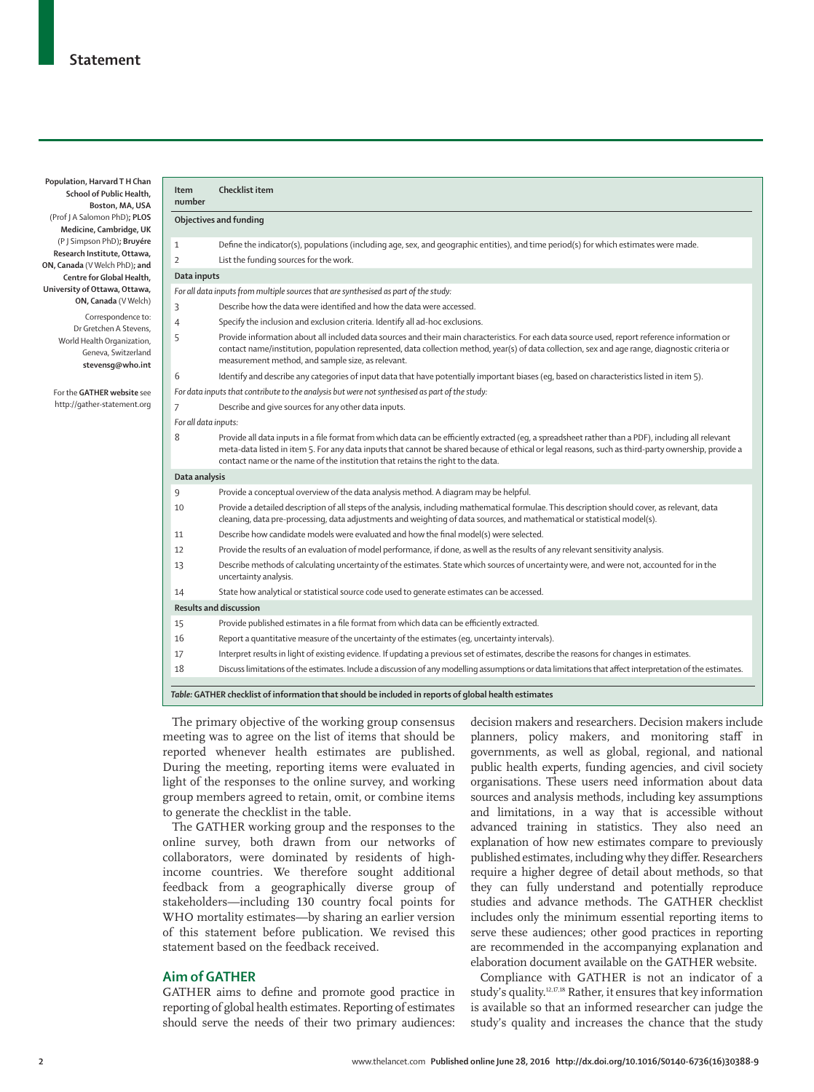**Population, Harvard T H Chan School of Public Health, Boston, MA, USA** (Prof J A Salomon PhD)**; PLOS Medicine, Cambridge, UK** (P J Simpson PhD)**; Bruyére Research Institute, Ottawa, ON, Canada** (V Welch PhD)**; and Centre for Global Health, University of Ottawa, Ottawa, ON, Canada** (V Welch)

> Correspondence to: Dr Gretchen A Stevens, World Health Organization, Geneva, Switzerland **stevensg@who.int**

For the **GATHER website** see http://gather-statement.org

## **Item number Checklist item Objectives and funding** 1 Define the indicator(s), populations (including age, sex, and geographic entities), and time period(s) for which estimates were made. 2 List the funding sources for the work.

| Data inputs                                                                                    |                                                                                                                                                                                                                                                                                                                                                                                               |
|------------------------------------------------------------------------------------------------|-----------------------------------------------------------------------------------------------------------------------------------------------------------------------------------------------------------------------------------------------------------------------------------------------------------------------------------------------------------------------------------------------|
| For all data inputs from multiple sources that are synthesised as part of the study:           |                                                                                                                                                                                                                                                                                                                                                                                               |
| 3                                                                                              | Describe how the data were identified and how the data were accessed.                                                                                                                                                                                                                                                                                                                         |
| 4                                                                                              | Specify the inclusion and exclusion criteria. Identify all ad-hoc exclusions.                                                                                                                                                                                                                                                                                                                 |
| 5                                                                                              | Provide information about all included data sources and their main characteristics. For each data source used, report reference information or<br>contact name/institution, population represented, data collection method, year(s) of data collection, sex and age range, diagnostic criteria or<br>measurement method, and sample size, as relevant.                                        |
| 6                                                                                              | Identify and describe any categories of input data that have potentially important biases (eq, based on characteristics listed in item 5).                                                                                                                                                                                                                                                    |
| For data inputs that contribute to the analysis but were not synthesised as part of the study: |                                                                                                                                                                                                                                                                                                                                                                                               |
| 7                                                                                              | Describe and give sources for any other data inputs.                                                                                                                                                                                                                                                                                                                                          |
| For all data inputs:                                                                           |                                                                                                                                                                                                                                                                                                                                                                                               |
| 8                                                                                              | Provide all data inputs in a file format from which data can be efficiently extracted (eq, a spreadsheet rather than a PDF), including all relevant<br>meta-data listed in item 5. For any data inputs that cannot be shared because of ethical or legal reasons, such as third-party ownership, provide a<br>contact name or the name of the institution that retains the right to the data. |
| Data analysis                                                                                  |                                                                                                                                                                                                                                                                                                                                                                                               |
| 9                                                                                              | Provide a conceptual overview of the data analysis method. A diagram may be helpful.                                                                                                                                                                                                                                                                                                          |
| 10                                                                                             | Provide a detailed description of all steps of the analysis, including mathematical formulae. This description should cover, as relevant, data<br>cleaning, data pre-processing, data adjustments and weighting of data sources, and mathematical or statistical model(s).                                                                                                                    |
| 11                                                                                             | Describe how candidate models were evaluated and how the final model(s) were selected.                                                                                                                                                                                                                                                                                                        |
| 12                                                                                             | Provide the results of an evaluation of model performance, if done, as well as the results of any relevant sensitivity analysis.                                                                                                                                                                                                                                                              |
| 13                                                                                             | Describe methods of calculating uncertainty of the estimates. State which sources of uncertainty were, and were not, accounted for in the<br>uncertainty analysis.                                                                                                                                                                                                                            |
| 14                                                                                             | State how analytical or statistical source code used to generate estimates can be accessed.                                                                                                                                                                                                                                                                                                   |
| <b>Results and discussion</b>                                                                  |                                                                                                                                                                                                                                                                                                                                                                                               |
| 15                                                                                             | Provide published estimates in a file format from which data can be efficiently extracted.                                                                                                                                                                                                                                                                                                    |
| 16                                                                                             | Report a quantitative measure of the uncertainty of the estimates (eq, uncertainty intervals).                                                                                                                                                                                                                                                                                                |

17 Interpret results in light of existing evidence. If updating a previous set of estimates, describe the reasons for changes in estimates.

18 Discuss limitations of the estimates. Include a discussion of any modelling assumptions or data limitations that affect interpretation of the estimates.

*Table:* **GATHER checklist of information that should be included in reports of global health estimates**

The primary objective of the working group consensus meeting was to agree on the list of items that should be reported whenever health estimates are published. During the meeting, reporting items were evaluated in light of the responses to the online survey, and working group members agreed to retain, omit, or combine items to generate the checklist in the table.

The GATHER working group and the responses to the online survey, both drawn from our networks of collaborators, were dominated by residents of highincome countries. We therefore sought additional feedback from a geographically diverse group of stakeholders—including 130 country focal points for WHO mortality estimates—by sharing an earlier version of this statement before publication. We revised this statement based on the feedback received.

# **Aim of GATHER**

GATHER aims to define and promote good practice in reporting of global health estimates. Reporting of estimates should serve the needs of their two primary audiences: decision makers and researchers. Decision makers include planners, policy makers, and monitoring staff in governments, as well as global, regional, and national public health experts, funding agencies, and civil society organisations. These users need information about data sources and analysis methods, including key assumptions and limitations, in a way that is accessible without advanced training in statistics. They also need an explanation of how new estimates compare to previously published estimates, including why they differ. Researchers require a higher degree of detail about methods, so that they can fully understand and potentially reproduce studies and advance methods. The GATHER checklist includes only the minimum essential reporting items to serve these audiences; other good practices in reporting are recommended in the accompanying explanation and elaboration document available on the GATHER website.

Compliance with GATHER is not an indicator of a study's quality.<sup>12,17,18</sup> Rather, it ensures that key information is available so that an informed researcher can judge the study's quality and increases the chance that the study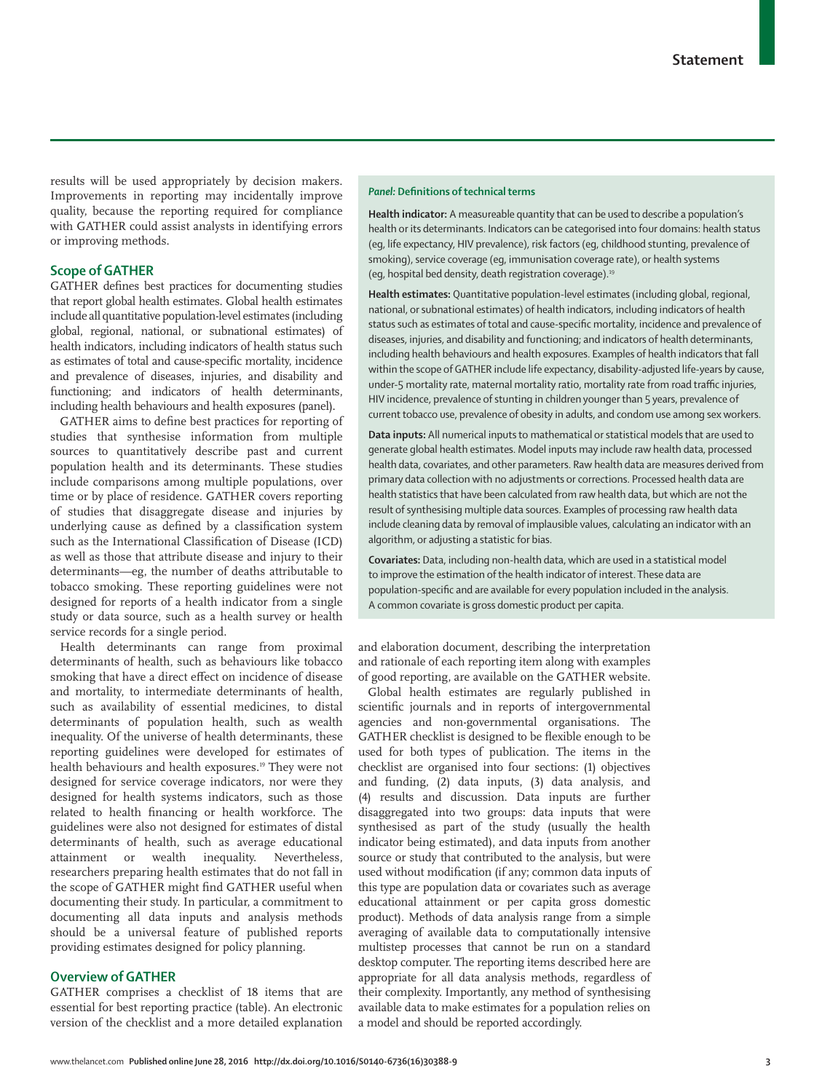results will be used appropriately by decision makers. Improvements in reporting may incidentally improve quality, because the reporting required for compliance with GATHER could assist analysts in identifying errors or improving methods.

# **Scope of GATHER**

GATHER defines best practices for documenting studies that report global health estimates. Global health estimates include all quantitative population-level estimates (including global, regional, national, or subnational estimates) of health indicators, including indicators of health status such as estimates of total and cause-specific mortality, incidence and prevalence of diseases, injuries, and disability and functioning; and indicators of health determinants, including health behaviours and health exposures (panel).

GATHER aims to define best practices for reporting of studies that synthesise information from multiple sources to quantitatively describe past and current population health and its determinants. These studies include comparisons among multiple populations, over time or by place of residence. GATHER covers reporting of studies that disaggregate disease and injuries by underlying cause as defined by a classification system such as the International Classification of Disease (ICD) as well as those that attribute disease and injury to their determinants—eg, the number of deaths attributable to tobacco smoking. These reporting guidelines were not designed for reports of a health indicator from a single study or data source, such as a health survey or health service records for a single period.

Health determinants can range from proximal determinants of health, such as behaviours like tobacco smoking that have a direct effect on incidence of disease and mortality, to intermediate determinants of health, such as availability of essential medicines, to distal determinants of population health, such as wealth inequality. Of the universe of health determinants, these reporting guidelines were developed for estimates of health behaviours and health exposures.19 They were not designed for service coverage indicators, nor were they designed for health systems indicators, such as those related to health financing or health workforce. The guidelines were also not designed for estimates of distal determinants of health, such as average educational attainment or wealth inequality. Nevertheless, researchers preparing health estimates that do not fall in the scope of GATHER might find GATHER useful when documenting their study. In particular, a commitment to documenting all data inputs and analysis methods should be a universal feature of published reports providing estimates designed for policy planning.

# **Overview of GATHER**

GATHER comprises a checklist of 18 items that are essential for best reporting practice (table). An electronic version of the checklist and a more detailed explanation

## *Panel:* **Definitions of technical terms**

**Health indicator:** A measureable quantity that can be used to describe a population's health or its determinants. Indicators can be categorised into four domains: health status (eg, life expectancy, HIV prevalence), risk factors (eg, childhood stunting, prevalence of smoking), service coverage (eg, immunisation coverage rate), or health systems (eg, hospital bed density, death registration coverage).19

**Health estimates:** Quantitative population-level estimates (including global, regional, national, or subnational estimates) of health indicators, including indicators of health status such as estimates of total and cause-specific mortality, incidence and prevalence of diseases, injuries, and disability and functioning; and indicators of health determinants, including health behaviours and health exposures. Examples of health indicators that fall within the scope of GATHER include life expectancy, disability-adjusted life-years by cause, under-5 mortality rate, maternal mortality ratio, mortality rate from road traffic injuries, HIV incidence, prevalence of stunting in children younger than 5 years, prevalence of current tobacco use, prevalence of obesity in adults, and condom use among sex workers.

**Data inputs:** All numerical inputs to mathematical or statistical models that are used to generate global health estimates. Model inputs may include raw health data, processed health data, covariates, and other parameters. Raw health data are measures derived from primary data collection with no adjustments or corrections. Processed health data are health statistics that have been calculated from raw health data, but which are not the result of synthesising multiple data sources. Examples of processing raw health data include cleaning data by removal of implausible values, calculating an indicator with an algorithm, or adjusting a statistic for bias.

**Covariates:** Data, including non-health data, which are used in a statistical model to improve the estimation of the health indicator of interest. These data are population-specific and are available for every population included in the analysis. A common covariate is gross domestic product per capita.

and elaboration document, describing the interpretation and rationale of each reporting item along with examples of good reporting, are available on the GATHER website.

Global health estimates are regularly published in scientific journals and in reports of intergovernmental agencies and non-governmental organisations. The GATHER checklist is designed to be flexible enough to be used for both types of publication. The items in the checklist are organised into four sections: (1) objectives and funding, (2) data inputs, (3) data analysis, and (4) results and discussion. Data inputs are further disaggregated into two groups: data inputs that were synthesised as part of the study (usually the health indicator being estimated), and data inputs from another source or study that contributed to the analysis, but were used without modification (if any; common data inputs of this type are population data or covariates such as average educational attainment or per capita gross domestic product). Methods of data analysis range from a simple averaging of available data to computationally intensive multistep processes that cannot be run on a standard desktop computer. The reporting items described here are appropriate for all data analysis methods, regardless of their complexity. Importantly, any method of synthesising available data to make estimates for a population relies on a model and should be reported accordingly.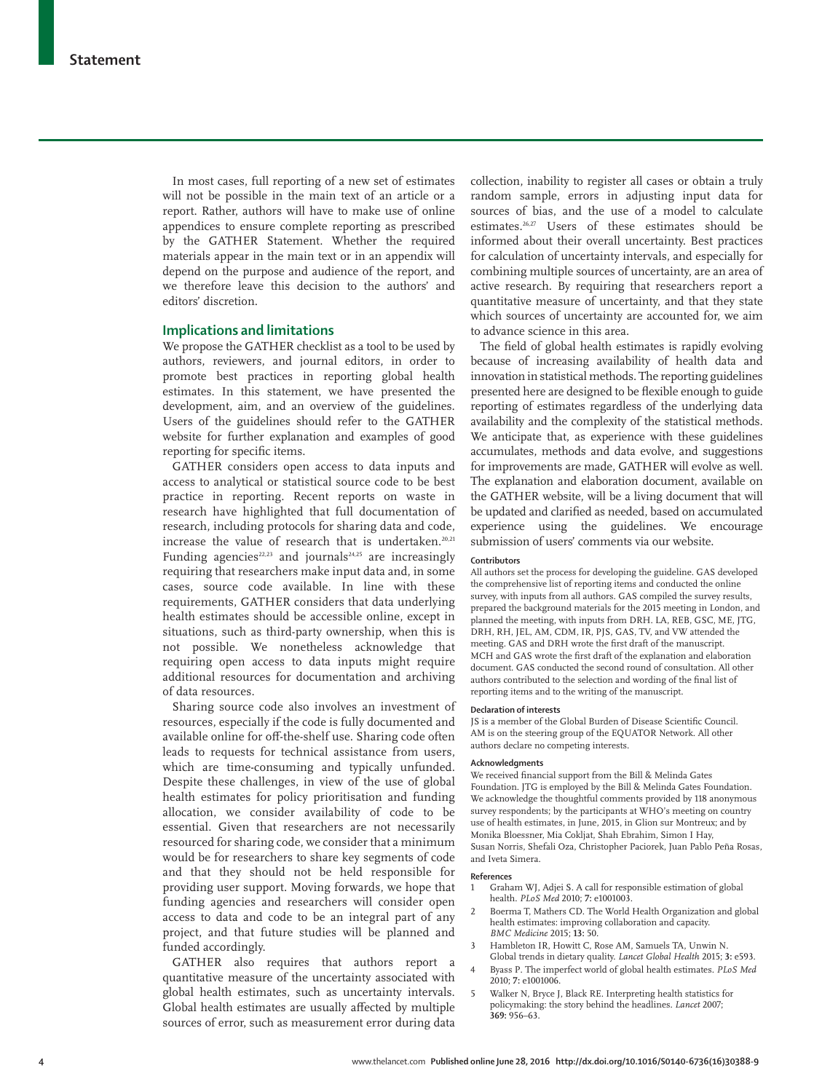In most cases, full reporting of a new set of estimates will not be possible in the main text of an article or a report. Rather, authors will have to make use of online appendices to ensure complete reporting as prescribed by the GATHER Statement. Whether the required materials appear in the main text or in an appendix will depend on the purpose and audience of the report, and we therefore leave this decision to the authors' and editors' discretion.

## **Implications and limitations**

We propose the GATHER checklist as a tool to be used by authors, reviewers, and journal editors, in order to promote best practices in reporting global health estimates. In this statement, we have presented the development, aim, and an overview of the guidelines. Users of the guidelines should refer to the GATHER website for further explanation and examples of good reporting for specific items.

GATHER considers open access to data inputs and access to analytical or statistical source code to be best practice in reporting. Recent reports on waste in research have highlighted that full documentation of research, including protocols for sharing data and code, increase the value of research that is undertaken.<sup>20,21</sup> Funding agencies<sup>22,23</sup> and journals<sup>24,25</sup> are increasingly requiring that researchers make input data and, in some cases, source code available. In line with these requirements, GATHER considers that data underlying health estimates should be accessible online, except in situations, such as third-party ownership, when this is not possible. We nonetheless acknowledge that requiring open access to data inputs might require additional resources for documentation and archiving of data resources.

Sharing source code also involves an investment of resources, especially if the code is fully documented and available online for off-the-shelf use. Sharing code often leads to requests for technical assistance from users, which are time-consuming and typically unfunded. Despite these challenges, in view of the use of global health estimates for policy prioritisation and funding allocation, we consider availability of code to be essential. Given that researchers are not necessarily resourced for sharing code, we consider that a minimum would be for researchers to share key segments of code and that they should not be held responsible for providing user support. Moving forwards, we hope that funding agencies and researchers will consider open access to data and code to be an integral part of any project, and that future studies will be planned and funded accordingly.

GATHER also requires that authors report a quantitative measure of the uncertainty associated with global health estimates, such as uncertainty intervals. Global health estimates are usually affected by multiple sources of error, such as measurement error during data collection, inability to register all cases or obtain a truly random sample, errors in adjusting input data for sources of bias, and the use of a model to calculate estimates.26,27 Users of these estimates should be informed about their overall uncertainty. Best practices for calculation of uncertainty intervals, and especially for combining multiple sources of uncertainty, are an area of active research. By requiring that researchers report a quantitative measure of uncertainty, and that they state which sources of uncertainty are accounted for, we aim to advance science in this area.

The field of global health estimates is rapidly evolving because of increasing availability of health data and innovation in statistical methods. The reporting guidelines presented here are designed to be flexible enough to guide reporting of estimates regardless of the underlying data availability and the complexity of the statistical methods. We anticipate that, as experience with these guidelines accumulates, methods and data evolve, and suggestions for improvements are made, GATHER will evolve as well. The explanation and elaboration document, available on the GATHER website, will be a living document that will be updated and clarified as needed, based on accumulated experience using the guidelines. We encourage submission of users' comments via our website.

#### **Contributors**

All authors set the process for developing the guideline. GAS developed the comprehensive list of reporting items and conducted the online survey, with inputs from all authors. GAS compiled the survey results, prepared the background materials for the 2015 meeting in London, and planned the meeting, with inputs from DRH. LA, REB, GSC, ME, JTG, DRH, RH, JEL, AM, CDM, IR, PJS, GAS, TV, and VW attended the meeting. GAS and DRH wrote the first draft of the manuscript. MCH and GAS wrote the first draft of the explanation and elaboration document. GAS conducted the second round of consultation. All other authors contributed to the selection and wording of the final list of reporting items and to the writing of the manuscript.

#### **Declaration of interests**

JS is a member of the Global Burden of Disease Scientific Council. AM is on the steering group of the EQUATOR Network. All other authors declare no competing interests.

#### **Acknowledgments**

We received financial support from the Bill & Melinda Gates Foundation. ITG is employed by the Bill & Melinda Gates Foundation. We acknowledge the thoughtful comments provided by 118 anonymous survey respondents; by the participants at WHO's meeting on country use of health estimates, in June, 2015, in Glion sur Montreux; and by Monika Bloessner, Mia Cokljat, Shah Ebrahim, Simon I Hay, Susan Norris, Shefali Oza, Christopher Paciorek, Juan Pablo Peña Rosas, and Iveta Simera.

#### **References**

- 1 Graham WJ, Adjei S. A call for responsible estimation of global health. *PLoS Med* 2010; **7:** e1001003.
- 2 Boerma T, Mathers CD. The World Health Organization and global health estimates: improving collaboration and capacity. *BMC Medicine* 2015; **13:** 50.
- 3 Hambleton IR, Howitt C, Rose AM, Samuels TA, Unwin N. Global trends in dietary quality. *Lancet Global Health* 2015; **3:** e593.
- 4 Byass P. The imperfect world of global health estimates. *PLoS Med* 2010; **7:** e1001006.
- 5 Walker N, Bryce J, Black RE. Interpreting health statistics for policymaking: the story behind the headlines. *Lancet* 2007; **369:** 956–63.